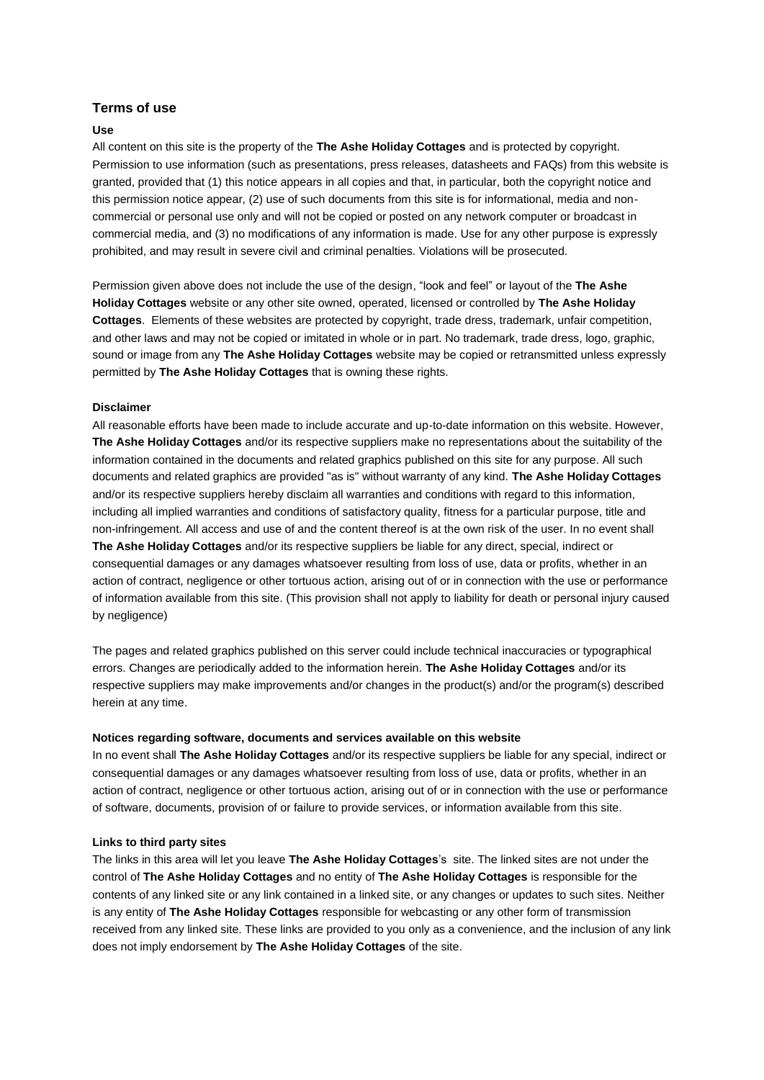# **Terms of use**

### **Use**

All content on this site is the property of the **The Ashe Holiday Cottages** and is protected by copyright. Permission to use information (such as presentations, press releases, datasheets and FAQs) from this website is granted, provided that (1) this notice appears in all copies and that, in particular, both the copyright notice and this permission notice appear, (2) use of such documents from this site is for informational, media and noncommercial or personal use only and will not be copied or posted on any network computer or broadcast in commercial media, and (3) no modifications of any information is made. Use for any other purpose is expressly prohibited, and may result in severe civil and criminal penalties. Violations will be prosecuted.

Permission given above does not include the use of the design, "look and feel" or layout of the **The Ashe Holiday Cottages** website or any other site owned, operated, licensed or controlled by **The Ashe Holiday Cottages**. Elements of these websites are protected by copyright, trade dress, trademark, unfair competition, and other laws and may not be copied or imitated in whole or in part. No trademark, trade dress, logo, graphic, sound or image from any **The Ashe Holiday Cottages** website may be copied or retransmitted unless expressly permitted by **The Ashe Holiday Cottages** that is owning these rights.

#### **Disclaimer**

All reasonable efforts have been made to include accurate and up-to-date information on this website. However, **The Ashe Holiday Cottages** and/or its respective suppliers make no representations about the suitability of the information contained in the documents and related graphics published on this site for any purpose. All such documents and related graphics are provided "as is" without warranty of any kind. **The Ashe Holiday Cottages** and/or its respective suppliers hereby disclaim all warranties and conditions with regard to this information, including all implied warranties and conditions of satisfactory quality, fitness for a particular purpose, title and non-infringement. All access and use of and the content thereof is at the own risk of the user. In no event shall **The Ashe Holiday Cottages** and/or its respective suppliers be liable for any direct, special, indirect or consequential damages or any damages whatsoever resulting from loss of use, data or profits, whether in an action of contract, negligence or other tortuous action, arising out of or in connection with the use or performance of information available from this site. (This provision shall not apply to liability for death or personal injury caused by negligence)

The pages and related graphics published on this server could include technical inaccuracies or typographical errors. Changes are periodically added to the information herein. **The Ashe Holiday Cottages** and/or its respective suppliers may make improvements and/or changes in the product(s) and/or the program(s) described herein at any time.

### **Notices regarding software, documents and services available on this website**

In no event shall **The Ashe Holiday Cottages** and/or its respective suppliers be liable for any special, indirect or consequential damages or any damages whatsoever resulting from loss of use, data or profits, whether in an action of contract, negligence or other tortuous action, arising out of or in connection with the use or performance of software, documents, provision of or failure to provide services, or information available from this site.

### **Links to third party sites**

The links in this area will let you leave **The Ashe Holiday Cottages**'s site. The linked sites are not under the control of **The Ashe Holiday Cottages** and no entity of **The Ashe Holiday Cottages** is responsible for the contents of any linked site or any link contained in a linked site, or any changes or updates to such sites. Neither is any entity of **The Ashe Holiday Cottages** responsible for webcasting or any other form of transmission received from any linked site. These links are provided to you only as a convenience, and the inclusion of any link does not imply endorsement by **The Ashe Holiday Cottages** of the site.